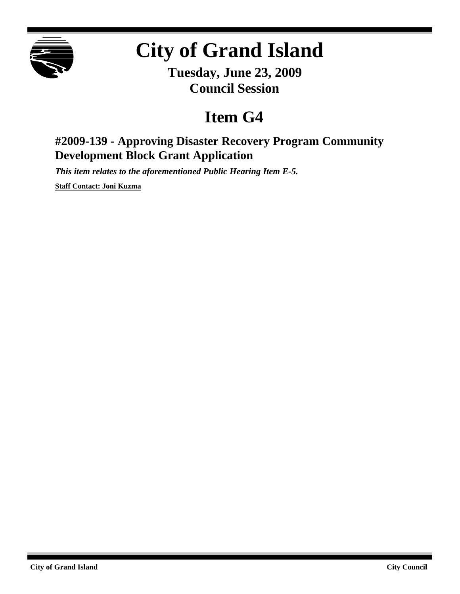

## **City of Grand Island**

**Tuesday, June 23, 2009 Council Session**

## **Item G4**

## **#2009-139 - Approving Disaster Recovery Program Community Development Block Grant Application**

*This item relates to the aforementioned Public Hearing Item E-5.*

**Staff Contact: Joni Kuzma**